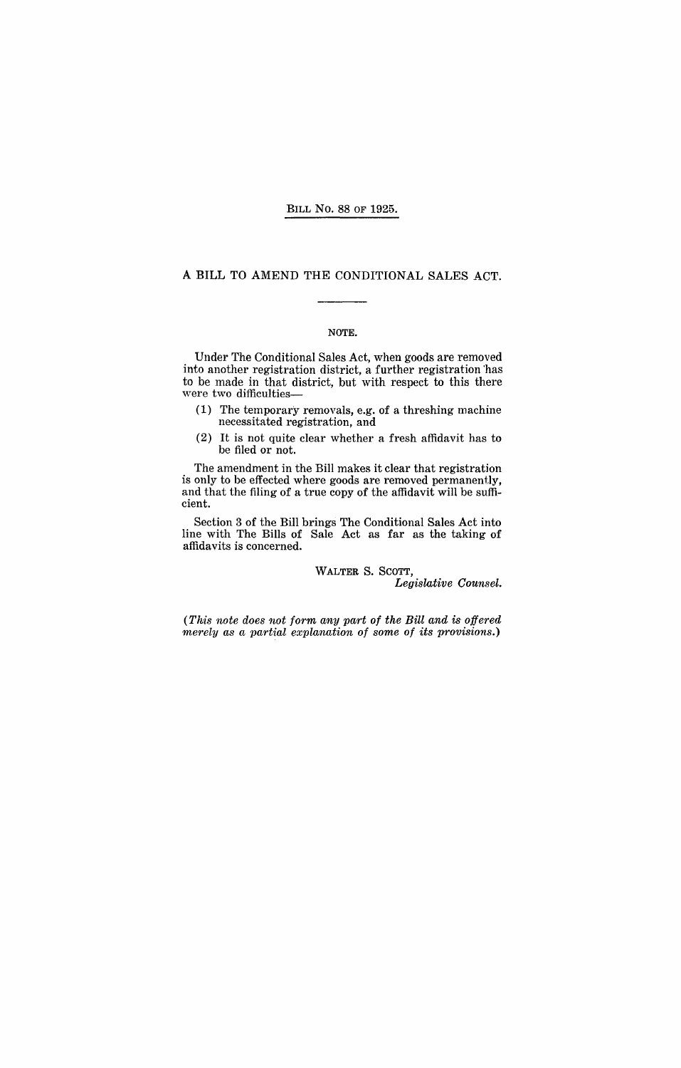#### BILL No. 88 OF 1925.

### A BILL TO AMEND THE CONDITIONAL SALES ACT.

### NOTE.

Under The Conditional Sales Act, when goods are removed into another registration district, a further registration 'has to be made in that district, but with respect to this there were two difficulties-

- (1) The temporary removals, e.g. of a threshing machine necessitated registration, and
- (2) It is not quite clear whether a fresh affidavit has to be filed or not.

The amendment in the Bill makes it clear that registration is only to be effected where goods are removed permanently, and that the filing of a true copy of the affidavit will be sufficient.

Section 3 of the Bill brings The Conditional Sales Act into line with The Bills of Sale Act as far as the taking of affidavits is concerned.

WALTER S. SCOTT,

*Legislative Counsel.* 

*(This note does not form any part of the Bill and is offered merely as a partial explanation of some of its provisions.)*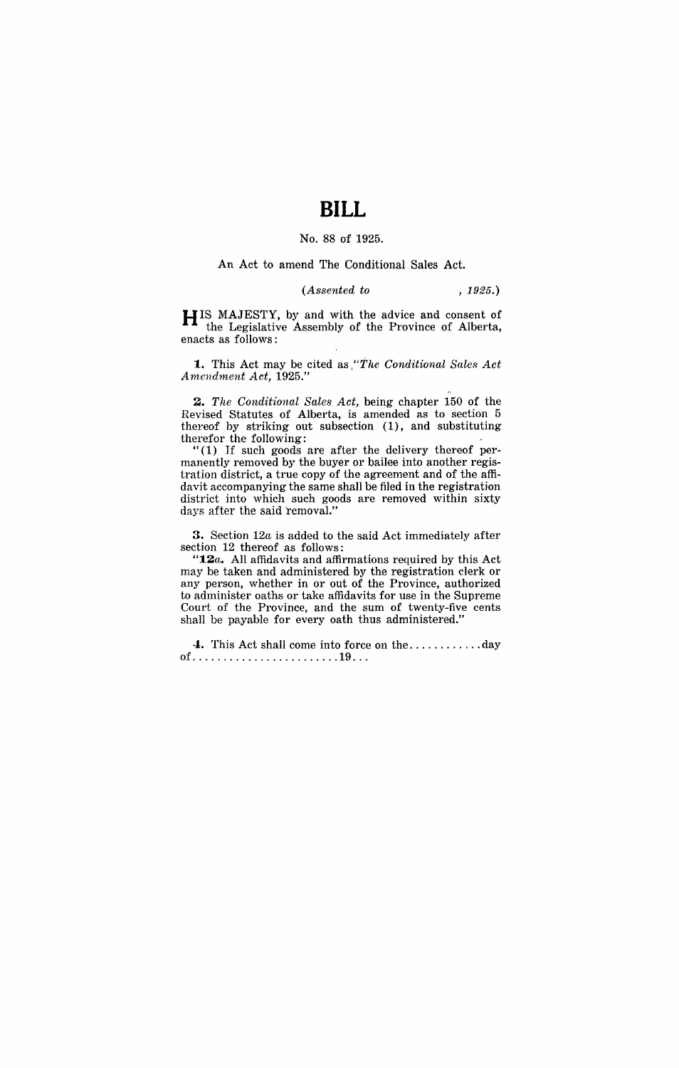# **BILL**

### No. 88 of 1925.

An Act to amend The Conditional Sales Act.

### *(Assented to* , 1925.)

HIS MAJESTY, by and with the advice and consent of the Legislative Assembly of the Province of Alberta, enacts as follows:

**1.** This Act may be cited as *'The Conditional Sales Act A mendment Act, 1925."* 

*2. The Conditional Sales Act,* being chapter 150 of the Revised Statutes of Alberta, is amended as to section 5 thereof by striking out subsection (1), and substituting therefor the following:

 $(1)$  If such goods are after the delivery thereof permanently removed by the buyer or bailee into another registration district, a true copy of the agreement and of the affidavit accompanying the same shall be filed in the registration district into which such goods are removed within sixty days after the said removal."

3. Section *12a* is added to the said Act immediately after section 12 thereof as follows:

*"12a.* All affidavits and affirmations required by this Act may be taken and administered by the registration clerk or any person, whether in or out of the Province, authorized to administer oaths or take affidavits for use in the Supreme Court of the Province, and the sum of twenty-five cents shall be payable for every oath thus administered."

4. This Act shall come into force on the ............ day of ........................ 19 .. .